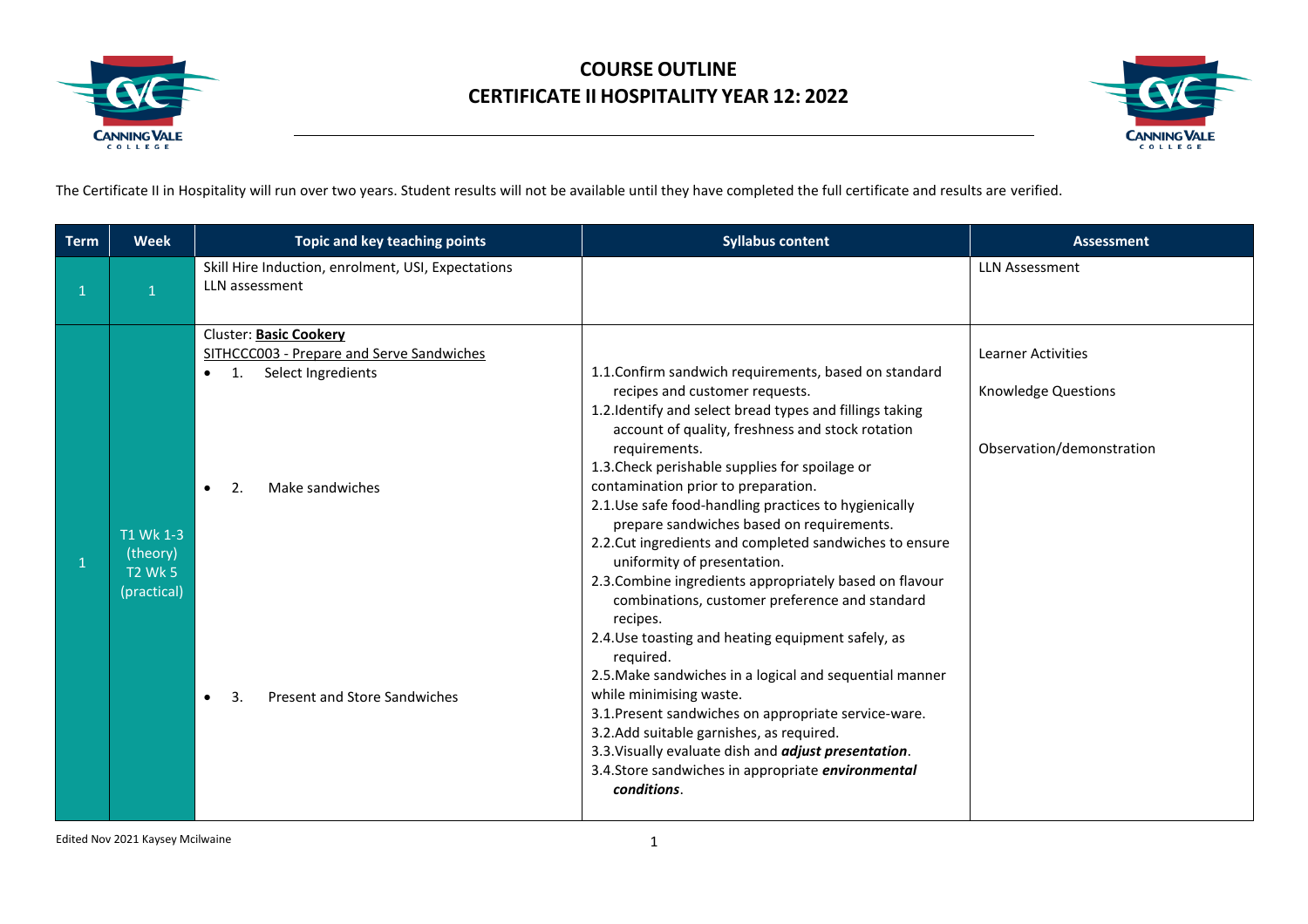



The Certificate II in Hospitality will run over two years. Student results will not be available until they have completed the full certificate and results are verified.

| <b>Term</b> | <b>Week</b>                                            | Topic and key teaching points                                                                                                                                                                                                   | <b>Syllabus content</b>                                                                                                                                                                                                                                                                                                                                                                                                                                                                                                                                                                                                                                                                                                                                                                                                                                                                                                                                                                                                                      | <b>Assessment</b>                                                             |
|-------------|--------------------------------------------------------|---------------------------------------------------------------------------------------------------------------------------------------------------------------------------------------------------------------------------------|----------------------------------------------------------------------------------------------------------------------------------------------------------------------------------------------------------------------------------------------------------------------------------------------------------------------------------------------------------------------------------------------------------------------------------------------------------------------------------------------------------------------------------------------------------------------------------------------------------------------------------------------------------------------------------------------------------------------------------------------------------------------------------------------------------------------------------------------------------------------------------------------------------------------------------------------------------------------------------------------------------------------------------------------|-------------------------------------------------------------------------------|
|             |                                                        | Skill Hire Induction, enrolment, USI, Expectations<br>LLN assessment                                                                                                                                                            |                                                                                                                                                                                                                                                                                                                                                                                                                                                                                                                                                                                                                                                                                                                                                                                                                                                                                                                                                                                                                                              | <b>LLN Assessment</b>                                                         |
|             | T1 Wk 1-3<br>(theory)<br><b>T2 Wk 5</b><br>(practical) | Cluster: Basic Cookery<br>SITHCCC003 - Prepare and Serve Sandwiches<br>Select Ingredients<br>$\mathbf{1}$ .<br>$\bullet$<br>Make sandwiches<br>$\bullet$<br>2.<br>Present and Store Sandwiches<br>$\overline{3}$ .<br>$\bullet$ | 1.1. Confirm sandwich requirements, based on standard<br>recipes and customer requests.<br>1.2. Identify and select bread types and fillings taking<br>account of quality, freshness and stock rotation<br>requirements.<br>1.3. Check perishable supplies for spoilage or<br>contamination prior to preparation.<br>2.1. Use safe food-handling practices to hygienically<br>prepare sandwiches based on requirements.<br>2.2. Cut ingredients and completed sandwiches to ensure<br>uniformity of presentation.<br>2.3. Combine ingredients appropriately based on flavour<br>combinations, customer preference and standard<br>recipes.<br>2.4. Use toasting and heating equipment safely, as<br>required.<br>2.5. Make sandwiches in a logical and sequential manner<br>while minimising waste.<br>3.1. Present sandwiches on appropriate service-ware.<br>3.2.Add suitable garnishes, as required.<br>3.3. Visually evaluate dish and <i>adjust presentation</i> .<br>3.4. Store sandwiches in appropriate environmental<br>conditions. | Learner Activities<br><b>Knowledge Questions</b><br>Observation/demonstration |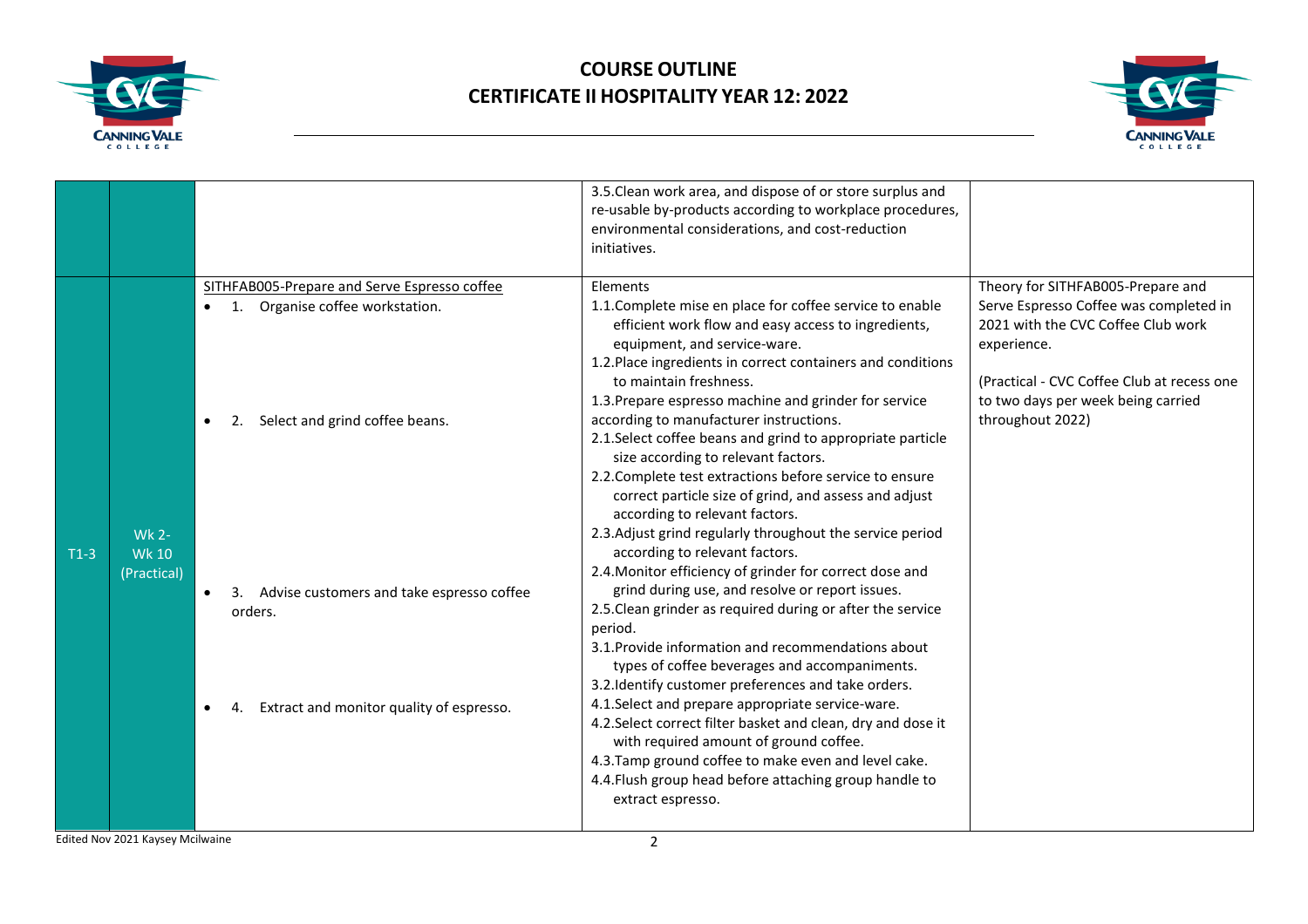



|        |                                             |                                                                                                                                                                                                                                                                                             | 3.5. Clean work area, and dispose of or store surplus and<br>re-usable by-products according to workplace procedures,<br>environmental considerations, and cost-reduction<br>initiatives.                                                                                                                                                                                                                                                                                                                                                                                                                                                                                                                                                                                                                                                                                                                                                                                                                                                                                                                                                                                                                                                                                                                                                                                     |                                                                                                                                                                                                                                          |
|--------|---------------------------------------------|---------------------------------------------------------------------------------------------------------------------------------------------------------------------------------------------------------------------------------------------------------------------------------------------|-------------------------------------------------------------------------------------------------------------------------------------------------------------------------------------------------------------------------------------------------------------------------------------------------------------------------------------------------------------------------------------------------------------------------------------------------------------------------------------------------------------------------------------------------------------------------------------------------------------------------------------------------------------------------------------------------------------------------------------------------------------------------------------------------------------------------------------------------------------------------------------------------------------------------------------------------------------------------------------------------------------------------------------------------------------------------------------------------------------------------------------------------------------------------------------------------------------------------------------------------------------------------------------------------------------------------------------------------------------------------------|------------------------------------------------------------------------------------------------------------------------------------------------------------------------------------------------------------------------------------------|
| $T1-3$ | <b>Wk 2-</b><br><b>Wk 10</b><br>(Practical) | SITHFAB005-Prepare and Serve Espresso coffee<br>Organise coffee workstation.<br>1.<br>$\bullet$<br>Select and grind coffee beans.<br>$\bullet$<br>2.<br>3. Advise customers and take espresso coffee<br>$\bullet$<br>orders.<br>Extract and monitor quality of espresso.<br>4.<br>$\bullet$ | Elements<br>1.1. Complete mise en place for coffee service to enable<br>efficient work flow and easy access to ingredients,<br>equipment, and service-ware.<br>1.2. Place ingredients in correct containers and conditions<br>to maintain freshness.<br>1.3. Prepare espresso machine and grinder for service<br>according to manufacturer instructions.<br>2.1. Select coffee beans and grind to appropriate particle<br>size according to relevant factors.<br>2.2. Complete test extractions before service to ensure<br>correct particle size of grind, and assess and adjust<br>according to relevant factors.<br>2.3. Adjust grind regularly throughout the service period<br>according to relevant factors.<br>2.4. Monitor efficiency of grinder for correct dose and<br>grind during use, and resolve or report issues.<br>2.5. Clean grinder as required during or after the service<br>period.<br>3.1. Provide information and recommendations about<br>types of coffee beverages and accompaniments.<br>3.2. Identify customer preferences and take orders.<br>4.1. Select and prepare appropriate service-ware.<br>4.2. Select correct filter basket and clean, dry and dose it<br>with required amount of ground coffee.<br>4.3. Tamp ground coffee to make even and level cake.<br>4.4. Flush group head before attaching group handle to<br>extract espresso. | Theory for SITHFAB005-Prepare and<br>Serve Espresso Coffee was completed in<br>2021 with the CVC Coffee Club work<br>experience.<br>(Practical - CVC Coffee Club at recess one<br>to two days per week being carried<br>throughout 2022) |
|        |                                             |                                                                                                                                                                                                                                                                                             |                                                                                                                                                                                                                                                                                                                                                                                                                                                                                                                                                                                                                                                                                                                                                                                                                                                                                                                                                                                                                                                                                                                                                                                                                                                                                                                                                                               |                                                                                                                                                                                                                                          |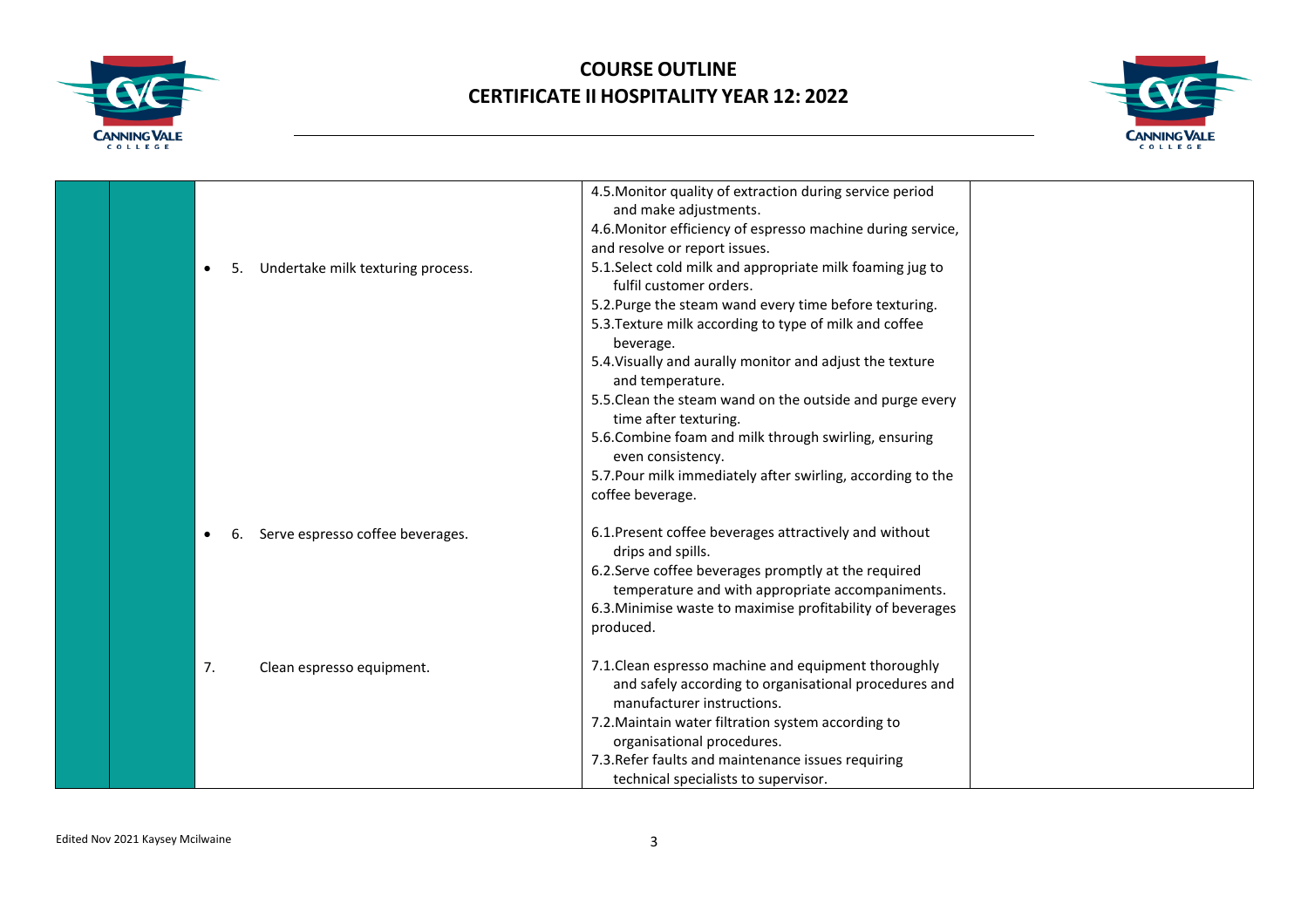



|                                              | 4.5. Monitor quality of extraction during service period    |  |
|----------------------------------------------|-------------------------------------------------------------|--|
|                                              | and make adjustments.                                       |  |
|                                              | 4.6. Monitor efficiency of espresso machine during service, |  |
|                                              | and resolve or report issues.                               |  |
| Undertake milk texturing process.<br>5.<br>٠ | 5.1. Select cold milk and appropriate milk foaming jug to   |  |
|                                              | fulfil customer orders.                                     |  |
|                                              | 5.2. Purge the steam wand every time before texturing.      |  |
|                                              | 5.3. Texture milk according to type of milk and coffee      |  |
|                                              | beverage.                                                   |  |
|                                              | 5.4. Visually and aurally monitor and adjust the texture    |  |
|                                              | and temperature.                                            |  |
|                                              | 5.5. Clean the steam wand on the outside and purge every    |  |
|                                              | time after texturing.                                       |  |
|                                              | 5.6. Combine foam and milk through swirling, ensuring       |  |
|                                              | even consistency.                                           |  |
|                                              | 5.7. Pour milk immediately after swirling, according to the |  |
|                                              | coffee beverage.                                            |  |
|                                              |                                                             |  |
| Serve espresso coffee beverages.             | 6.1. Present coffee beverages attractively and without      |  |
|                                              | drips and spills.                                           |  |
|                                              | 6.2. Serve coffee beverages promptly at the required        |  |
|                                              | temperature and with appropriate accompaniments.            |  |
|                                              | 6.3. Minimise waste to maximise profitability of beverages  |  |
|                                              | produced.                                                   |  |
|                                              |                                                             |  |
| 7.<br>Clean espresso equipment.              | 7.1. Clean espresso machine and equipment thoroughly        |  |
|                                              | and safely according to organisational procedures and       |  |
|                                              | manufacturer instructions.                                  |  |
|                                              | 7.2. Maintain water filtration system according to          |  |
|                                              | organisational procedures.                                  |  |
|                                              | 7.3. Refer faults and maintenance issues requiring          |  |
|                                              | technical specialists to supervisor.                        |  |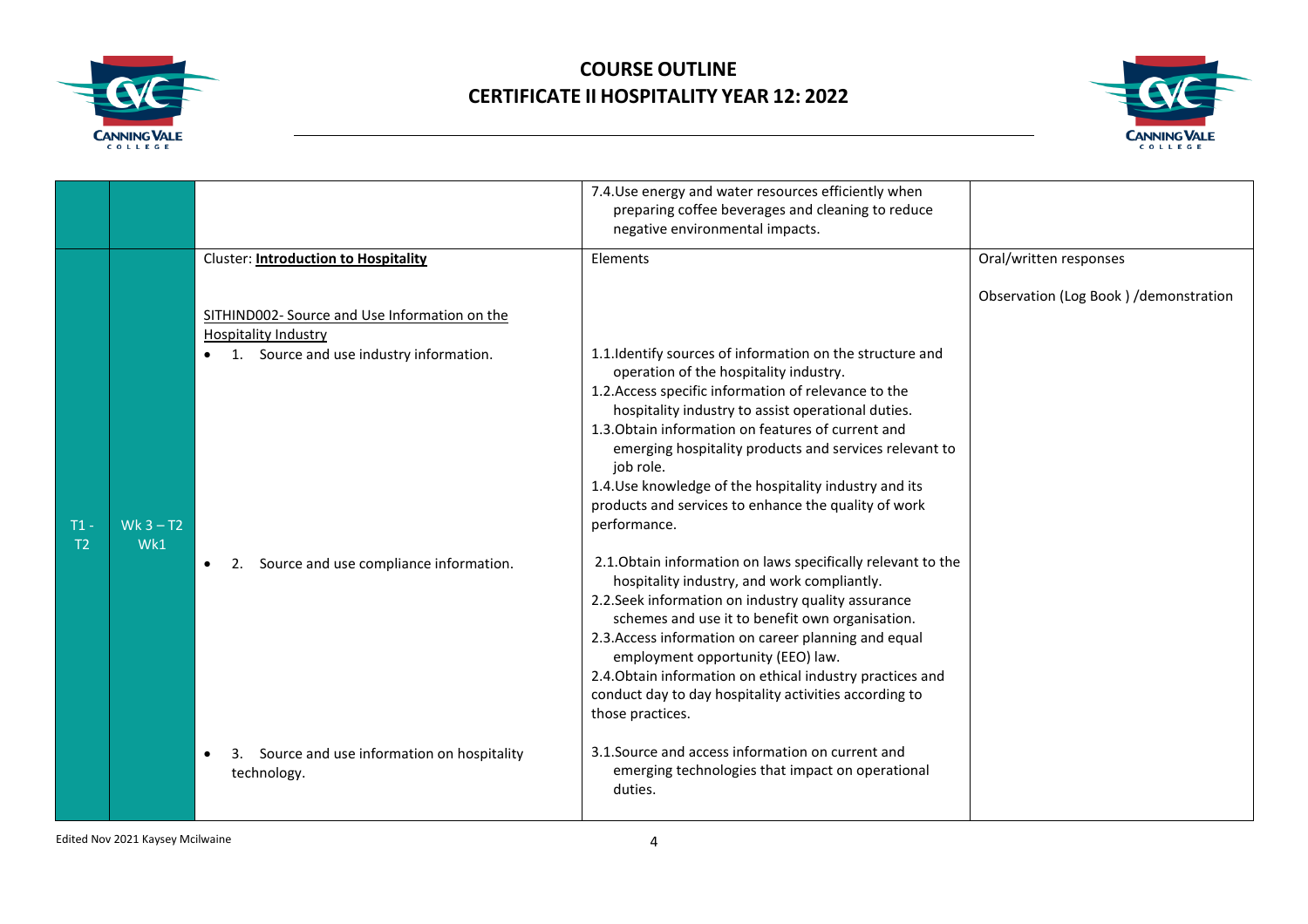



|                          |                    |                                                                                                                                                                                     | 7.4. Use energy and water resources efficiently when<br>preparing coffee beverages and cleaning to reduce<br>negative environmental impacts.                                                                                                                                                                                                                                                                                                                                                                                          |                                       |
|--------------------------|--------------------|-------------------------------------------------------------------------------------------------------------------------------------------------------------------------------------|---------------------------------------------------------------------------------------------------------------------------------------------------------------------------------------------------------------------------------------------------------------------------------------------------------------------------------------------------------------------------------------------------------------------------------------------------------------------------------------------------------------------------------------|---------------------------------------|
| $T1 -$<br>T <sub>2</sub> |                    | <b>Cluster: Introduction to Hospitality</b><br>SITHIND002- Source and Use Information on the<br><b>Hospitality Industry</b><br>1. Source and use industry information.<br>$\bullet$ | Elements<br>Oral/written responses<br>1.1. Identify sources of information on the structure and<br>operation of the hospitality industry.<br>1.2. Access specific information of relevance to the<br>hospitality industry to assist operational duties.<br>1.3. Obtain information on features of current and<br>emerging hospitality products and services relevant to<br>job role.<br>1.4. Use knowledge of the hospitality industry and its                                                                                        | Observation (Log Book) /demonstration |
|                          | Wk $3 - T2$<br>Wk1 | Source and use compliance information.<br>2.<br>$\bullet$                                                                                                                           | products and services to enhance the quality of work<br>performance.<br>2.1. Obtain information on laws specifically relevant to the<br>hospitality industry, and work compliantly.<br>2.2. Seek information on industry quality assurance<br>schemes and use it to benefit own organisation.<br>2.3. Access information on career planning and equal<br>employment opportunity (EEO) law.<br>2.4. Obtain information on ethical industry practices and<br>conduct day to day hospitality activities according to<br>those practices. |                                       |
|                          |                    | 3. Source and use information on hospitality<br>$\bullet$<br>technology.                                                                                                            | 3.1. Source and access information on current and<br>emerging technologies that impact on operational<br>duties.                                                                                                                                                                                                                                                                                                                                                                                                                      |                                       |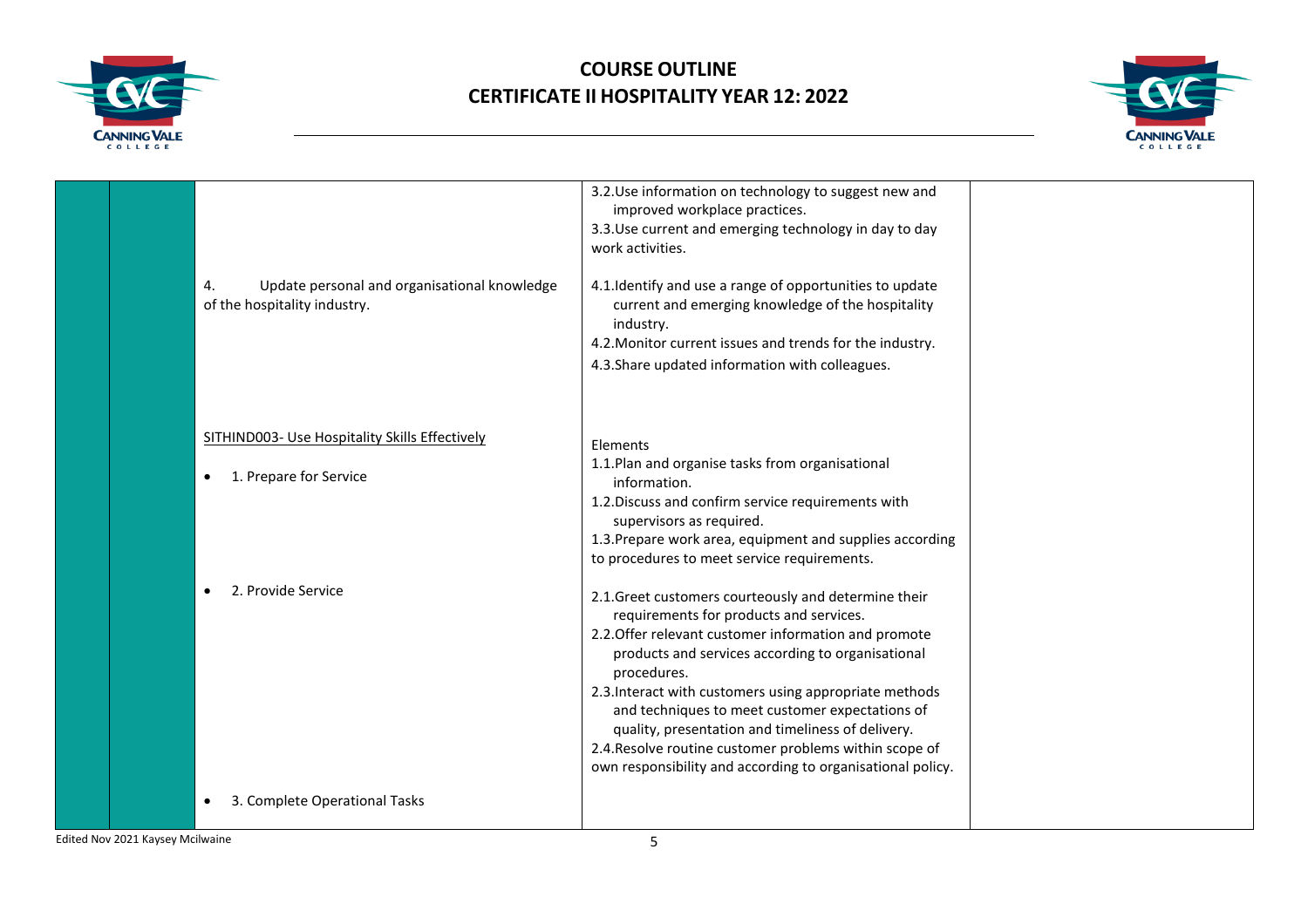



|  |                                                                                    | 3.2. Use information on technology to suggest new and<br>improved workplace practices.<br>3.3. Use current and emerging technology in day to day<br>work activities.                                                                                                                                                                                                                                                                                                                                                  |  |
|--|------------------------------------------------------------------------------------|-----------------------------------------------------------------------------------------------------------------------------------------------------------------------------------------------------------------------------------------------------------------------------------------------------------------------------------------------------------------------------------------------------------------------------------------------------------------------------------------------------------------------|--|
|  | Update personal and organisational knowledge<br>4.<br>of the hospitality industry. | 4.1. Identify and use a range of opportunities to update<br>current and emerging knowledge of the hospitality<br>industry.<br>4.2. Monitor current issues and trends for the industry.                                                                                                                                                                                                                                                                                                                                |  |
|  |                                                                                    | 4.3. Share updated information with colleagues.                                                                                                                                                                                                                                                                                                                                                                                                                                                                       |  |
|  | SITHIND003- Use Hospitality Skills Effectively                                     | Elements                                                                                                                                                                                                                                                                                                                                                                                                                                                                                                              |  |
|  | 1. Prepare for Service<br>$\bullet$                                                | 1.1. Plan and organise tasks from organisational<br>information.                                                                                                                                                                                                                                                                                                                                                                                                                                                      |  |
|  |                                                                                    | 1.2. Discuss and confirm service requirements with<br>supervisors as required.                                                                                                                                                                                                                                                                                                                                                                                                                                        |  |
|  |                                                                                    | 1.3. Prepare work area, equipment and supplies according<br>to procedures to meet service requirements.                                                                                                                                                                                                                                                                                                                                                                                                               |  |
|  | 2. Provide Service                                                                 | 2.1. Greet customers courteously and determine their<br>requirements for products and services.<br>2.2. Offer relevant customer information and promote<br>products and services according to organisational<br>procedures.<br>2.3. Interact with customers using appropriate methods<br>and techniques to meet customer expectations of<br>quality, presentation and timeliness of delivery.<br>2.4. Resolve routine customer problems within scope of<br>own responsibility and according to organisational policy. |  |
|  | 3. Complete Operational Tasks                                                      |                                                                                                                                                                                                                                                                                                                                                                                                                                                                                                                       |  |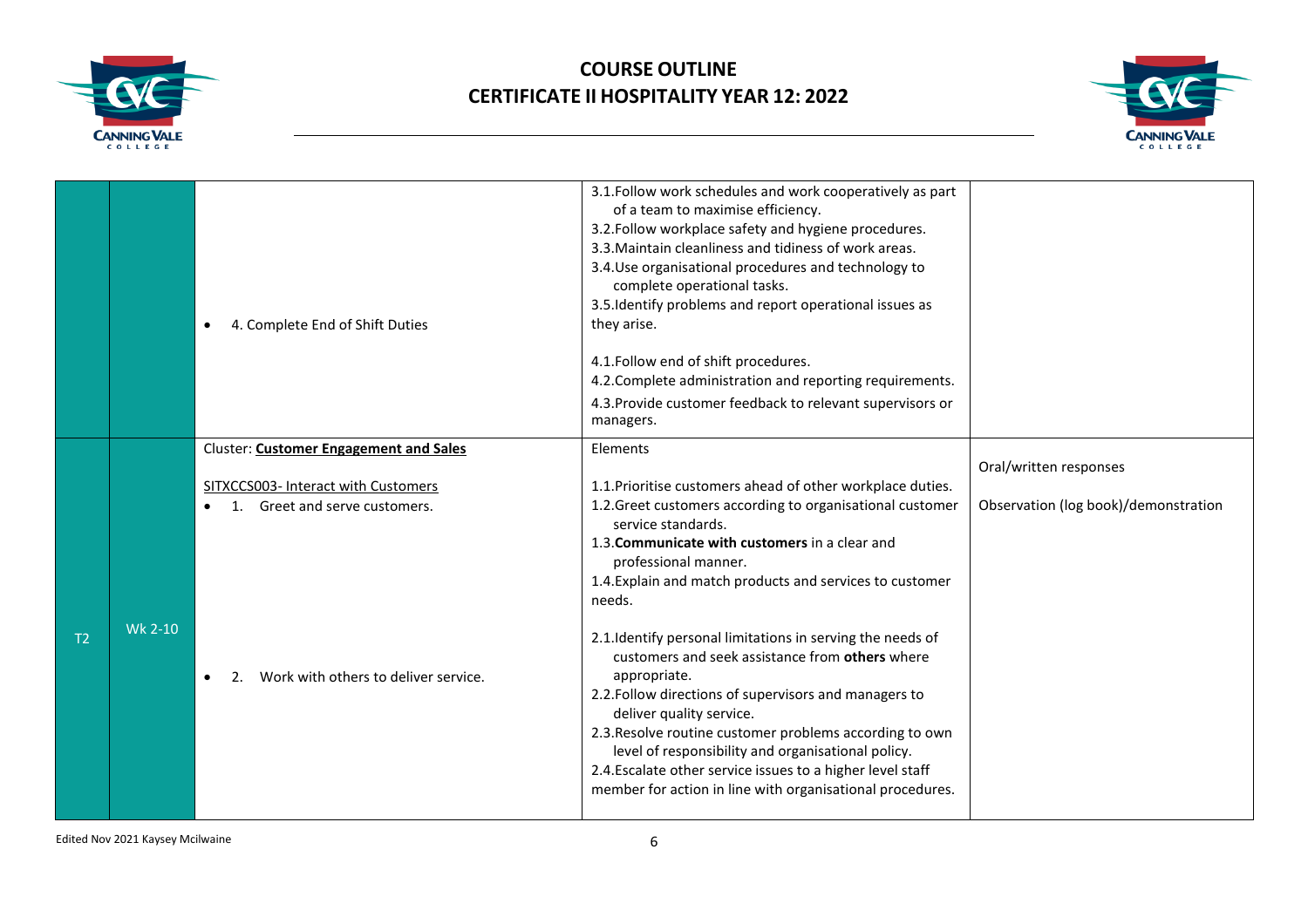



|     |         | 4. Complete End of Shift Duties<br>$\bullet$                                                                                                             | 3.1. Follow work schedules and work cooperatively as part<br>of a team to maximise efficiency.<br>3.2. Follow workplace safety and hygiene procedures.<br>3.3. Maintain cleanliness and tidiness of work areas.<br>3.4. Use organisational procedures and technology to<br>complete operational tasks.<br>3.5. Identify problems and report operational issues as<br>they arise.                                                                                                                                                                                                                                                                                                                                                                                |                                                                |
|-----|---------|----------------------------------------------------------------------------------------------------------------------------------------------------------|-----------------------------------------------------------------------------------------------------------------------------------------------------------------------------------------------------------------------------------------------------------------------------------------------------------------------------------------------------------------------------------------------------------------------------------------------------------------------------------------------------------------------------------------------------------------------------------------------------------------------------------------------------------------------------------------------------------------------------------------------------------------|----------------------------------------------------------------|
|     |         |                                                                                                                                                          | 4.1. Follow end of shift procedures.<br>4.2. Complete administration and reporting requirements.<br>4.3. Provide customer feedback to relevant supervisors or<br>managers.                                                                                                                                                                                                                                                                                                                                                                                                                                                                                                                                                                                      |                                                                |
|     |         | Cluster: Customer Engagement and Sales                                                                                                                   | Elements                                                                                                                                                                                                                                                                                                                                                                                                                                                                                                                                                                                                                                                                                                                                                        |                                                                |
| Т2. | Wk 2-10 | SITXCCS003- Interact with Customers<br>Greet and serve customers.<br>1.<br>$\bullet$<br>Work with others to deliver service.<br>$2_{\cdot}$<br>$\bullet$ | 1.1. Prioritise customers ahead of other workplace duties.<br>1.2. Greet customers according to organisational customer<br>service standards.<br>1.3. Communicate with customers in a clear and<br>professional manner.<br>1.4. Explain and match products and services to customer<br>needs.<br>2.1. Identify personal limitations in serving the needs of<br>customers and seek assistance from others where<br>appropriate.<br>2.2. Follow directions of supervisors and managers to<br>deliver quality service.<br>2.3. Resolve routine customer problems according to own<br>level of responsibility and organisational policy.<br>2.4. Escalate other service issues to a higher level staff<br>member for action in line with organisational procedures. | Oral/written responses<br>Observation (log book)/demonstration |

Edited Nov 2021 Kaysey Mcilwaine 6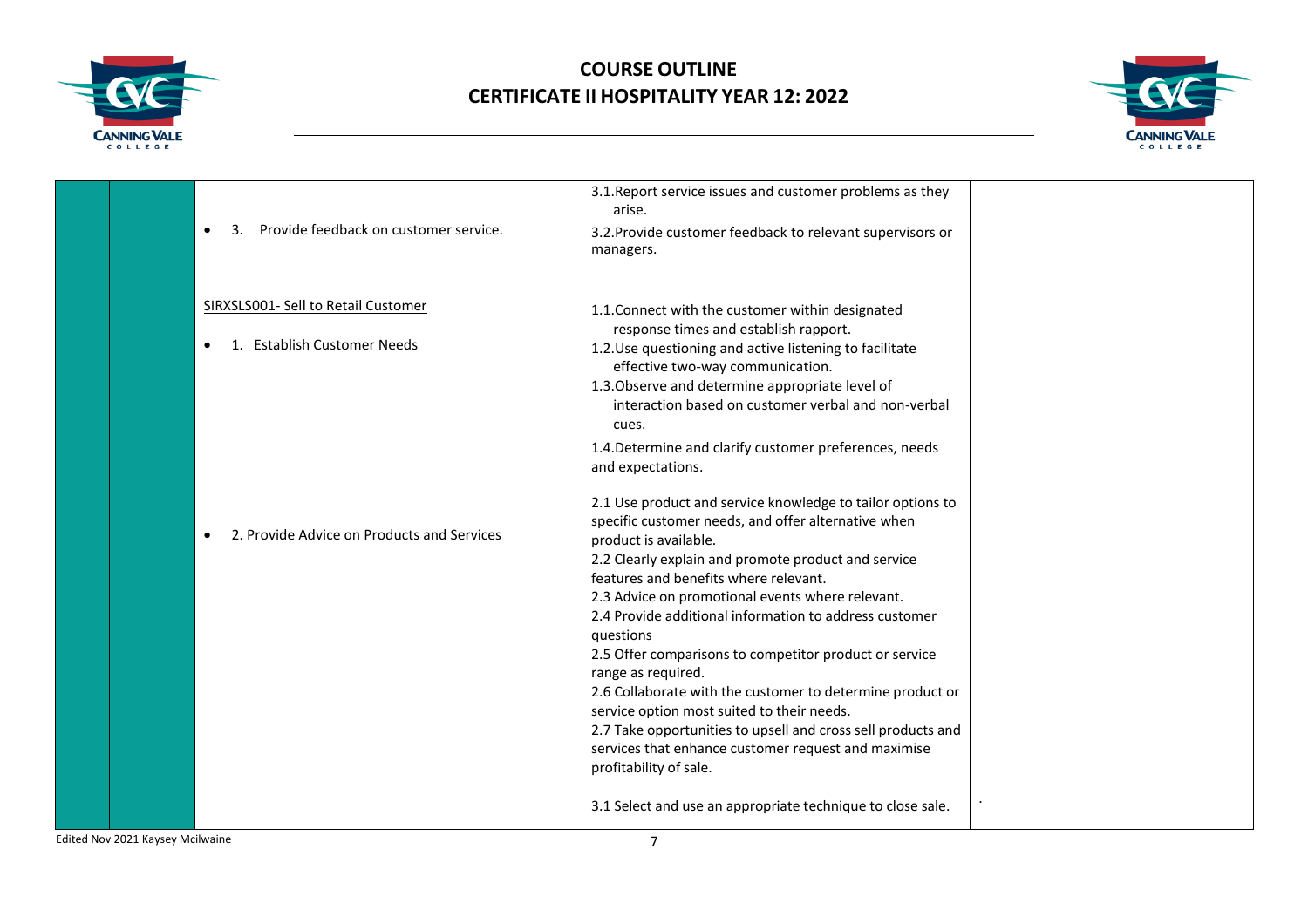



|  |                                                                                 | 3.1. Report service issues and customer problems as they<br>arise.                                                                                                                                                                                                                                                                                                                                                                                                                                                                                                                                                                                                                                                |  |
|--|---------------------------------------------------------------------------------|-------------------------------------------------------------------------------------------------------------------------------------------------------------------------------------------------------------------------------------------------------------------------------------------------------------------------------------------------------------------------------------------------------------------------------------------------------------------------------------------------------------------------------------------------------------------------------------------------------------------------------------------------------------------------------------------------------------------|--|
|  | Provide feedback on customer service.<br>3.<br>$\bullet$                        | 3.2. Provide customer feedback to relevant supervisors or<br>managers.                                                                                                                                                                                                                                                                                                                                                                                                                                                                                                                                                                                                                                            |  |
|  | SIRXSLS001- Sell to Retail Customer<br>1. Establish Customer Needs<br>$\bullet$ | 1.1. Connect with the customer within designated<br>response times and establish rapport.<br>1.2. Use questioning and active listening to facilitate<br>effective two-way communication.<br>1.3. Observe and determine appropriate level of<br>interaction based on customer verbal and non-verbal<br>cues.                                                                                                                                                                                                                                                                                                                                                                                                       |  |
|  |                                                                                 | 1.4. Determine and clarify customer preferences, needs<br>and expectations.                                                                                                                                                                                                                                                                                                                                                                                                                                                                                                                                                                                                                                       |  |
|  | 2. Provide Advice on Products and Services<br>٠                                 | 2.1 Use product and service knowledge to tailor options to<br>specific customer needs, and offer alternative when<br>product is available.<br>2.2 Clearly explain and promote product and service<br>features and benefits where relevant.<br>2.3 Advice on promotional events where relevant.<br>2.4 Provide additional information to address customer<br>questions<br>2.5 Offer comparisons to competitor product or service<br>range as required.<br>2.6 Collaborate with the customer to determine product or<br>service option most suited to their needs.<br>2.7 Take opportunities to upsell and cross sell products and<br>services that enhance customer request and maximise<br>profitability of sale. |  |
|  |                                                                                 | 3.1 Select and use an appropriate technique to close sale.                                                                                                                                                                                                                                                                                                                                                                                                                                                                                                                                                                                                                                                        |  |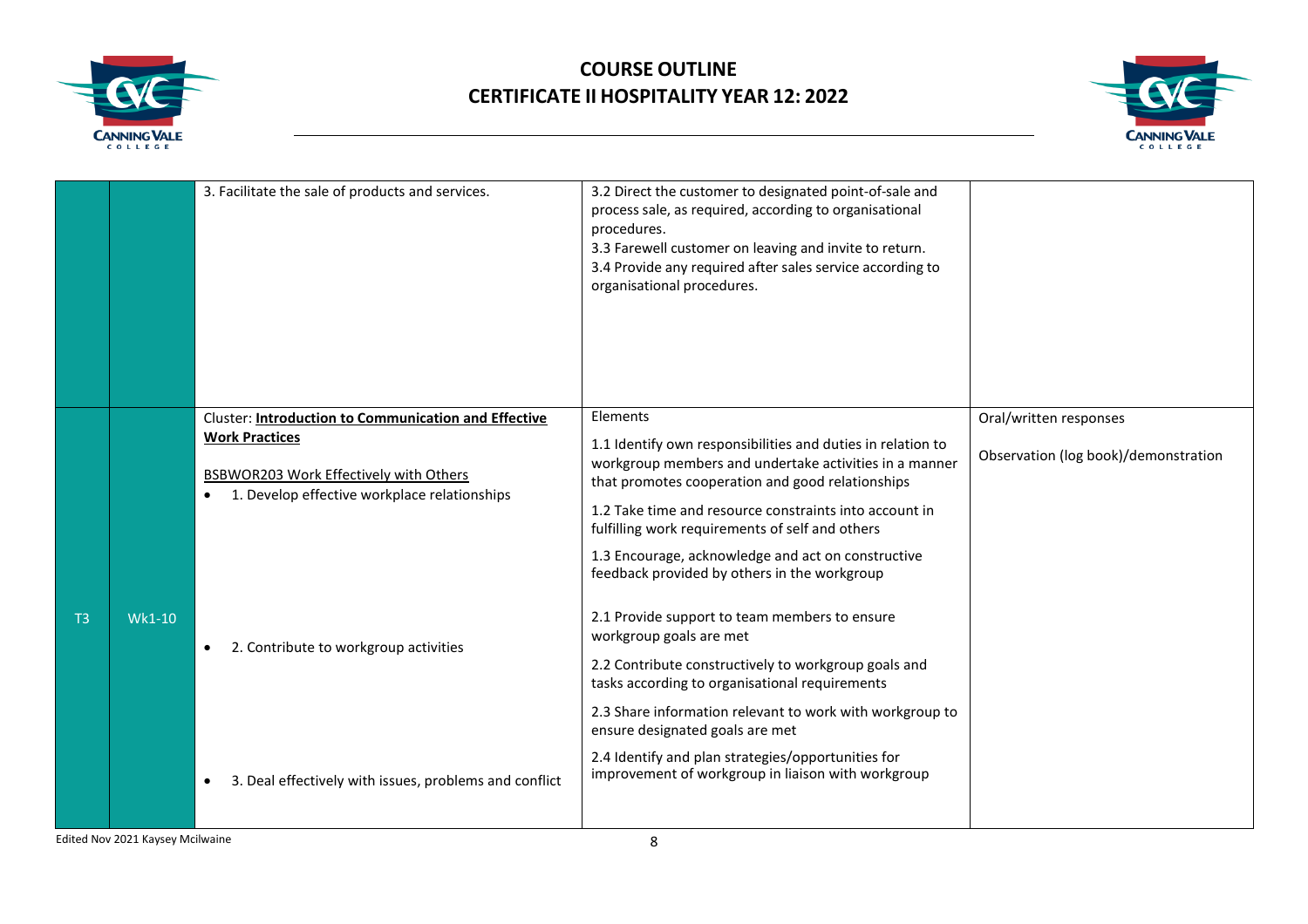



|                |                                        | 3. Facilitate the sale of products and services.                                                           | 3.2 Direct the customer to designated point-of-sale and<br>process sale, as required, according to organisational<br>procedures.<br>3.3 Farewell customer on leaving and invite to return.<br>3.4 Provide any required after sales service according to<br>organisational procedures. |                        |
|----------------|----------------------------------------|------------------------------------------------------------------------------------------------------------|---------------------------------------------------------------------------------------------------------------------------------------------------------------------------------------------------------------------------------------------------------------------------------------|------------------------|
|                |                                        | <b>Cluster: Introduction to Communication and Effective</b><br><b>Work Practices</b>                       | Elements<br>1.1 Identify own responsibilities and duties in relation to                                                                                                                                                                                                               | Oral/written responses |
|                | BSBWOR203 Work Effectively with Others | workgroup members and undertake activities in a manner<br>that promotes cooperation and good relationships | Observation (log book)/demonstration                                                                                                                                                                                                                                                  |                        |
|                |                                        | 1. Develop effective workplace relationships<br>$\bullet$                                                  | 1.2 Take time and resource constraints into account in<br>fulfilling work requirements of self and others                                                                                                                                                                             |                        |
|                |                                        |                                                                                                            | 1.3 Encourage, acknowledge and act on constructive<br>feedback provided by others in the workgroup                                                                                                                                                                                    |                        |
| T <sub>3</sub> | Wk1-10                                 | 2. Contribute to workgroup activities<br>$\bullet$                                                         | 2.1 Provide support to team members to ensure<br>workgroup goals are met                                                                                                                                                                                                              |                        |
|                |                                        |                                                                                                            | 2.2 Contribute constructively to workgroup goals and<br>tasks according to organisational requirements                                                                                                                                                                                |                        |
|                |                                        |                                                                                                            | 2.3 Share information relevant to work with workgroup to<br>ensure designated goals are met                                                                                                                                                                                           |                        |
|                |                                        | 3. Deal effectively with issues, problems and conflict<br>$\bullet$                                        | 2.4 Identify and plan strategies/opportunities for<br>improvement of workgroup in liaison with workgroup                                                                                                                                                                              |                        |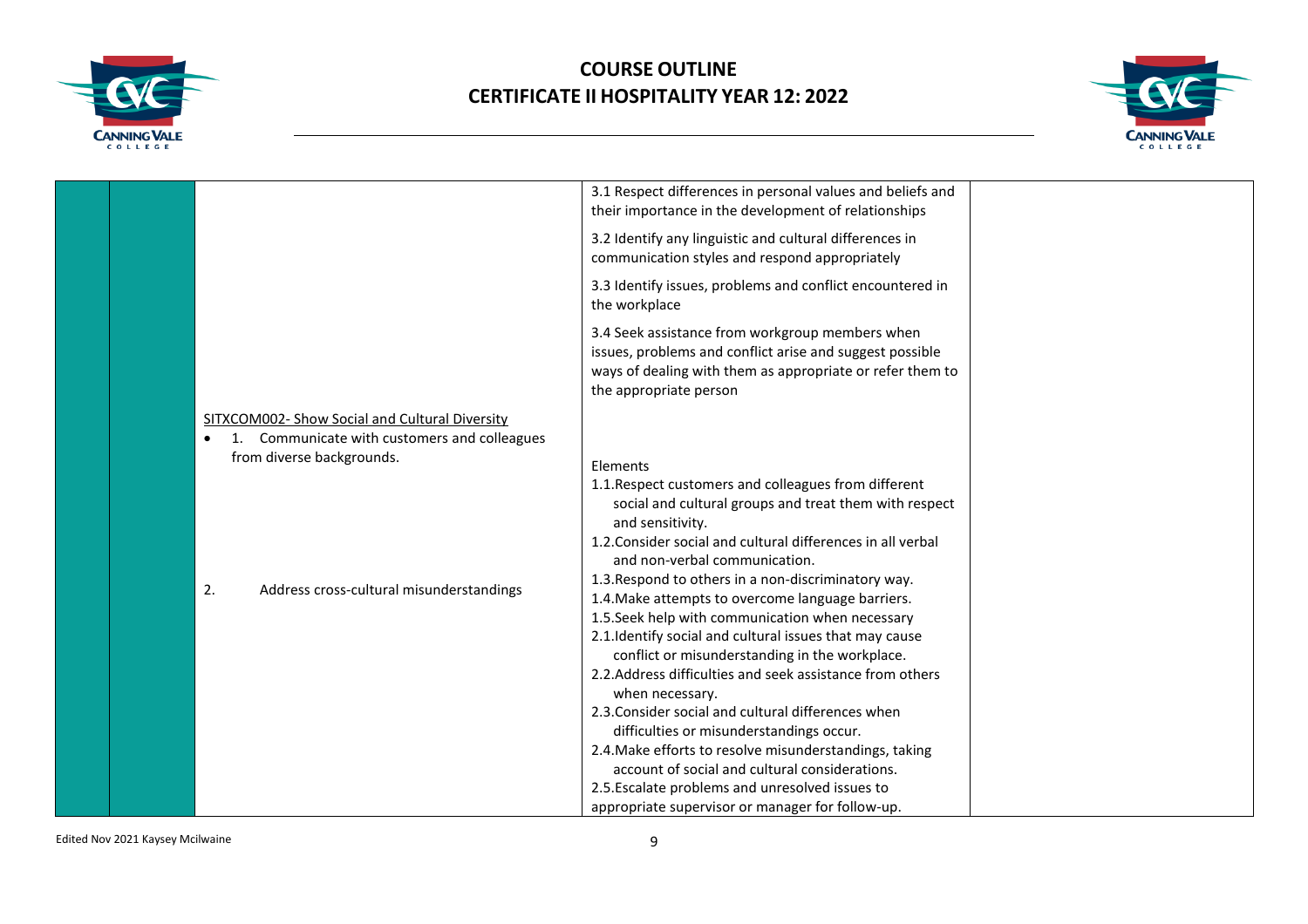



|  |                                                                                                | 3.1 Respect differences in personal values and beliefs and<br>their importance in the development of relationships                                                                                 |  |
|--|------------------------------------------------------------------------------------------------|----------------------------------------------------------------------------------------------------------------------------------------------------------------------------------------------------|--|
|  |                                                                                                | 3.2 Identify any linguistic and cultural differences in<br>communication styles and respond appropriately                                                                                          |  |
|  |                                                                                                | 3.3 Identify issues, problems and conflict encountered in<br>the workplace                                                                                                                         |  |
|  |                                                                                                | 3.4 Seek assistance from workgroup members when<br>issues, problems and conflict arise and suggest possible<br>ways of dealing with them as appropriate or refer them to<br>the appropriate person |  |
|  | SITXCOM002- Show Social and Cultural Diversity<br>1. Communicate with customers and colleagues |                                                                                                                                                                                                    |  |
|  | from diverse backgrounds.                                                                      | Elements                                                                                                                                                                                           |  |
|  |                                                                                                | 1.1. Respect customers and colleagues from different                                                                                                                                               |  |
|  |                                                                                                | social and cultural groups and treat them with respect<br>and sensitivity.                                                                                                                         |  |
|  |                                                                                                | 1.2. Consider social and cultural differences in all verbal<br>and non-verbal communication.                                                                                                       |  |
|  | 2.<br>Address cross-cultural misunderstandings                                                 | 1.3. Respond to others in a non-discriminatory way.<br>1.4. Make attempts to overcome language barriers.                                                                                           |  |
|  |                                                                                                | 1.5. Seek help with communication when necessary                                                                                                                                                   |  |
|  |                                                                                                | 2.1. Identify social and cultural issues that may cause<br>conflict or misunderstanding in the workplace.                                                                                          |  |
|  |                                                                                                | 2.2. Address difficulties and seek assistance from others<br>when necessary.                                                                                                                       |  |
|  |                                                                                                | 2.3. Consider social and cultural differences when                                                                                                                                                 |  |
|  |                                                                                                | difficulties or misunderstandings occur.                                                                                                                                                           |  |
|  |                                                                                                | 2.4. Make efforts to resolve misunderstandings, taking                                                                                                                                             |  |
|  |                                                                                                | account of social and cultural considerations.                                                                                                                                                     |  |
|  |                                                                                                | 2.5. Escalate problems and unresolved issues to                                                                                                                                                    |  |
|  |                                                                                                | appropriate supervisor or manager for follow-up.                                                                                                                                                   |  |